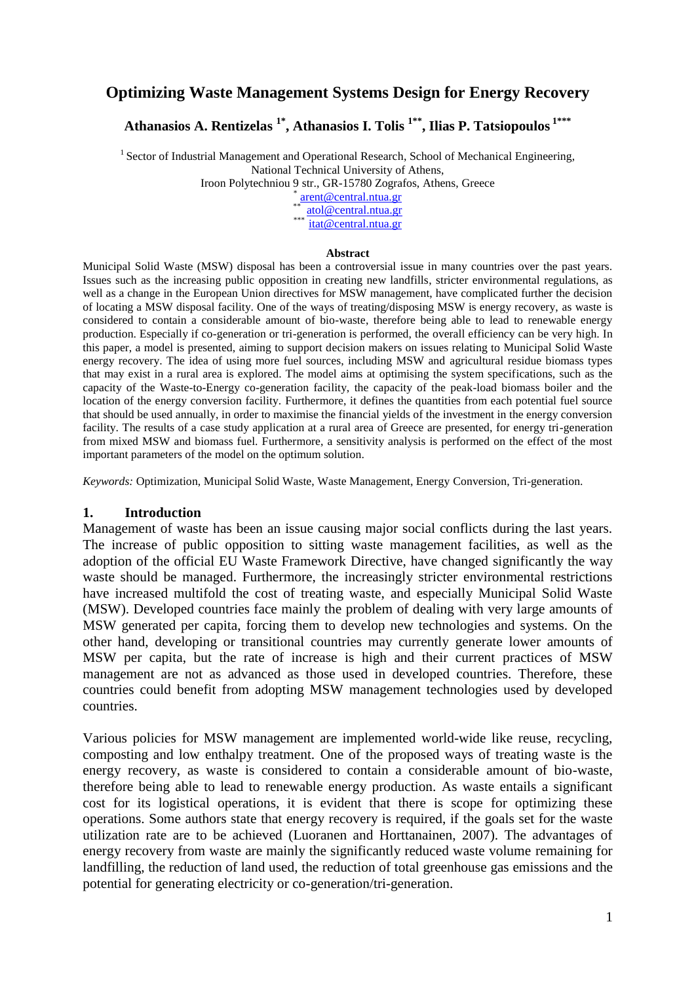# **Optimizing Waste Management Systems Design for Energy Recovery**

**Athanasios A. Rentizelas 1\* , Athanasios I. Tolis 1\*\*, Ilias P. Tatsiopoulos 1\*\*\***

 $1$  Sector of Industrial Management and Operational Research, School of Mechanical Engineering, National Technical University of Athens,

Iroon Polytechniou 9 str., GR-15780 Zografos, Athens, Greece

\* [arent@central.ntua.gr](mailto:arent@central.ntua.gr) \*\* [atol@central.ntua.gr](mailto:atol@central.ntua.gr)

 $\frac{1}{\text{itat@central.ntua.gr}}$  $\frac{1}{\text{itat@central.ntua.gr}}$  $\frac{1}{\text{itat@central.ntua.gr}}$ 

#### **Abstract**

Municipal Solid Waste (MSW) disposal has been a controversial issue in many countries over the past years. Issues such as the increasing public opposition in creating new landfills, stricter environmental regulations, as well as a change in the European Union directives for MSW management, have complicated further the decision of locating a MSW disposal facility. One of the ways of treating/disposing MSW is energy recovery, as waste is considered to contain a considerable amount of bio-waste, therefore being able to lead to renewable energy production. Especially if co-generation or tri-generation is performed, the overall efficiency can be very high. In this paper, a model is presented, aiming to support decision makers on issues relating to Municipal Solid Waste energy recovery. The idea of using more fuel sources, including MSW and agricultural residue biomass types that may exist in a rural area is explored. The model aims at optimising the system specifications, such as the capacity of the Waste-to-Energy co-generation facility, the capacity of the peak-load biomass boiler and the location of the energy conversion facility. Furthermore, it defines the quantities from each potential fuel source that should be used annually, in order to maximise the financial yields of the investment in the energy conversion facility. The results of a case study application at a rural area of Greece are presented, for energy tri-generation from mixed MSW and biomass fuel. Furthermore, a sensitivity analysis is performed on the effect of the most important parameters of the model on the optimum solution.

*Keywords:* Optimization, Municipal Solid Waste, Waste Management, Energy Conversion, Tri-generation.

#### **1. Introduction**

Management of waste has been an issue causing major social conflicts during the last years. The increase of public opposition to sitting waste management facilities, as well as the adoption of the official EU Waste Framework Directive, have changed significantly the way waste should be managed. Furthermore, the increasingly stricter environmental restrictions have increased multifold the cost of treating waste, and especially Municipal Solid Waste (MSW). Developed countries face mainly the problem of dealing with very large amounts of MSW generated per capita, forcing them to develop new technologies and systems. On the other hand, developing or transitional countries may currently generate lower amounts of MSW per capita, but the rate of increase is high and their current practices of MSW management are not as advanced as those used in developed countries. Therefore, these countries could benefit from adopting MSW management technologies used by developed countries.

Various policies for MSW management are implemented world-wide like reuse, recycling, composting and low enthalpy treatment. One of the proposed ways of treating waste is the energy recovery, as waste is considered to contain a considerable amount of bio-waste, therefore being able to lead to renewable energy production. As waste entails a significant cost for its logistical operations, it is evident that there is scope for optimizing these operations. Some authors state that energy recovery is required, if the goals set for the waste utilization rate are to be achieved (Luoranen and Horttanainen, 2007). The advantages of energy recovery from waste are mainly the significantly reduced waste volume remaining for landfilling, the reduction of land used, the reduction of total greenhouse gas emissions and the potential for generating electricity or co-generation/tri-generation.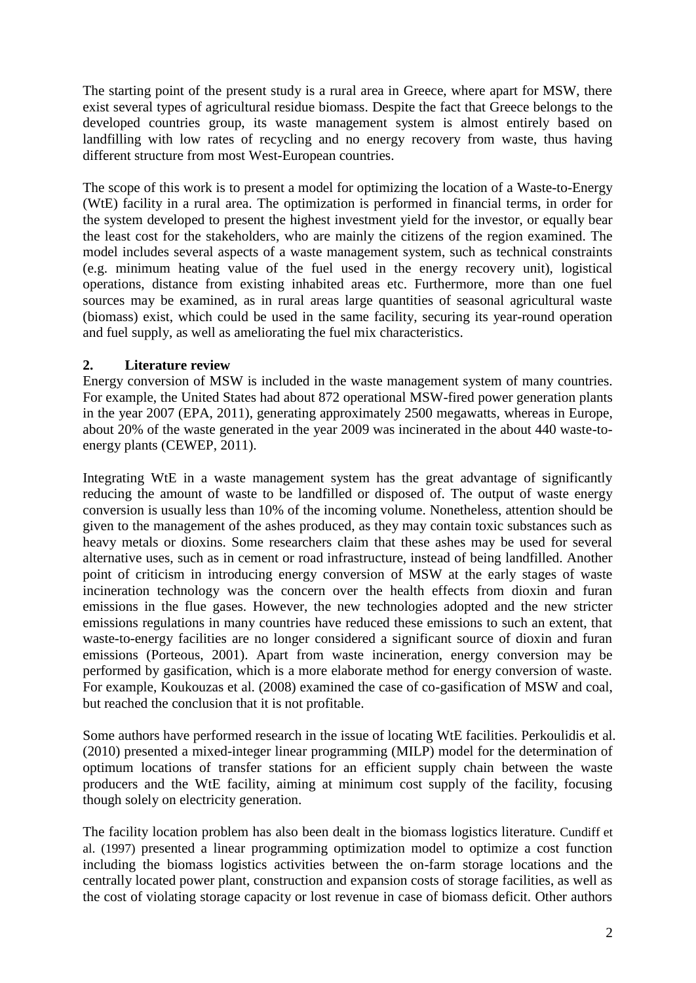The starting point of the present study is a rural area in Greece, where apart for MSW, there exist several types of agricultural residue biomass. Despite the fact that Greece belongs to the developed countries group, its waste management system is almost entirely based on landfilling with low rates of recycling and no energy recovery from waste, thus having different structure from most West-European countries.

The scope of this work is to present a model for optimizing the location of a Waste-to-Energy (WtE) facility in a rural area. The optimization is performed in financial terms, in order for the system developed to present the highest investment yield for the investor, or equally bear the least cost for the stakeholders, who are mainly the citizens of the region examined. The model includes several aspects of a waste management system, such as technical constraints (e.g. minimum heating value of the fuel used in the energy recovery unit), logistical operations, distance from existing inhabited areas etc. Furthermore, more than one fuel sources may be examined, as in rural areas large quantities of seasonal agricultural waste (biomass) exist, which could be used in the same facility, securing its year-round operation and fuel supply, as well as ameliorating the fuel mix characteristics.

# **2. Literature review**

Energy conversion of MSW is included in the waste management system of many countries. For example, the United States had about 872 operational MSW-fired power generation plants in the year 2007 (EPA, 2011), generating approximately 2500 megawatts, whereas in Europe, about 20% of the waste generated in the year 2009 was incinerated in the about 440 waste-toenergy plants (CEWEP, 2011).

Integrating WtE in a waste management system has the great advantage of significantly reducing the amount of waste to be landfilled or disposed of. The output of waste energy conversion is usually less than 10% of the incoming volume. Nonetheless, attention should be given to the management of the ashes produced, as they may contain toxic substances such as heavy metals or dioxins. Some researchers claim that these ashes may be used for several alternative uses, such as in cement or road infrastructure, instead of being landfilled. Another point of criticism in introducing energy conversion of MSW at the early stages of waste incineration technology was the concern over the health effects from dioxin and furan emissions in the flue gases. However, the new technologies adopted and the new stricter emissions regulations in many countries have reduced these emissions to such an extent, that waste-to-energy facilities are no longer considered a significant source of dioxin and furan emissions (Porteous, 2001). Apart from waste incineration, energy conversion may be performed by gasification, which is a more elaborate method for energy conversion of waste. For example, Koukouzas et al. (2008) examined the case of co-gasification of MSW and coal, but reached the conclusion that it is not profitable.

Some authors have performed research in the issue of locating WtE facilities. Perkoulidis et al. (2010) presented a mixed-integer linear programming (MILP) model for the determination of optimum locations of transfer stations for an efficient supply chain between the waste producers and the WtE facility, aiming at minimum cost supply of the facility, focusing though solely on electricity generation.

The facility location problem has also been dealt in the biomass logistics literature. Cundiff et al. (1997) presented a linear programming optimization model to optimize a cost function including the biomass logistics activities between the on-farm storage locations and the centrally located power plant, construction and expansion costs of storage facilities, as well as the cost of violating storage capacity or lost revenue in case of biomass deficit. Other authors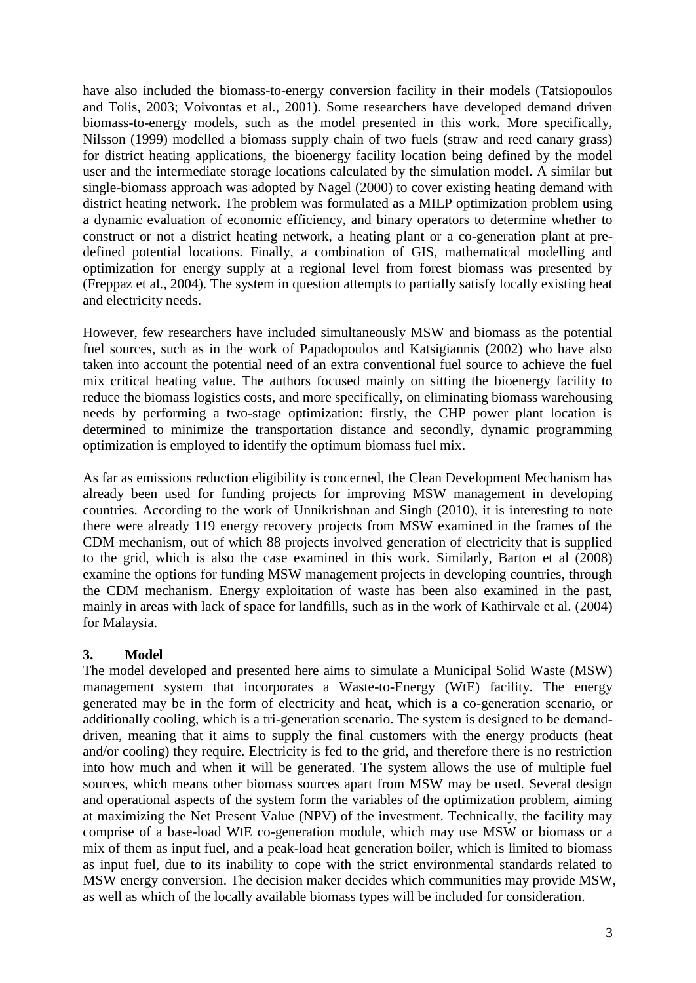have also included the biomass-to-energy conversion facility in their models (Tatsiopoulos and Tolis, 2003; Voivontas et al., 2001). Some researchers have developed demand driven biomass-to-energy models, such as the model presented in this work. More specifically, Nilsson (1999) modelled a biomass supply chain of two fuels (straw and reed canary grass) for district heating applications, the bioenergy facility location being defined by the model user and the intermediate storage locations calculated by the simulation model. A similar but single-biomass approach was adopted by Nagel (2000) to cover existing heating demand with district heating network. The problem was formulated as a MILP optimization problem using a dynamic evaluation of economic efficiency, and binary operators to determine whether to construct or not a district heating network, a heating plant or a co-generation plant at predefined potential locations. Finally, a combination of GIS, mathematical modelling and optimization for energy supply at a regional level from forest biomass was presented by (Freppaz et al., 2004). The system in question attempts to partially satisfy locally existing heat and electricity needs.

However, few researchers have included simultaneously MSW and biomass as the potential fuel sources, such as in the work of Papadopoulos and Katsigiannis (2002) who have also taken into account the potential need of an extra conventional fuel source to achieve the fuel mix critical heating value. The authors focused mainly on sitting the bioenergy facility to reduce the biomass logistics costs, and more specifically, on eliminating biomass warehousing needs by performing a two-stage optimization: firstly, the CHP power plant location is determined to minimize the transportation distance and secondly, dynamic programming optimization is employed to identify the optimum biomass fuel mix.

As far as emissions reduction eligibility is concerned, the Clean Development Mechanism has already been used for funding projects for improving MSW management in developing countries. According to the work of Unnikrishnan and Singh (2010), it is interesting to note there were already 119 energy recovery projects from MSW examined in the frames of the CDM mechanism, out of which 88 projects involved generation of electricity that is supplied to the grid, which is also the case examined in this work. Similarly, Barton et al (2008) examine the options for funding MSW management projects in developing countries, through the CDM mechanism. Energy exploitation of waste has been also examined in the past, mainly in areas with lack of space for landfills, such as in the work of Kathirvale et al. (2004) for Malaysia.

# **3. Model**

The model developed and presented here aims to simulate a Municipal Solid Waste (MSW) management system that incorporates a Waste-to-Energy (WtE) facility. The energy generated may be in the form of electricity and heat, which is a co-generation scenario, or additionally cooling, which is a tri-generation scenario. The system is designed to be demanddriven, meaning that it aims to supply the final customers with the energy products (heat and/or cooling) they require. Electricity is fed to the grid, and therefore there is no restriction into how much and when it will be generated. The system allows the use of multiple fuel sources, which means other biomass sources apart from MSW may be used. Several design and operational aspects of the system form the variables of the optimization problem, aiming at maximizing the Net Present Value (NPV) of the investment. Technically, the facility may comprise of a base-load WtE co-generation module, which may use MSW or biomass or a mix of them as input fuel, and a peak-load heat generation boiler, which is limited to biomass as input fuel, due to its inability to cope with the strict environmental standards related to MSW energy conversion. The decision maker decides which communities may provide MSW, as well as which of the locally available biomass types will be included for consideration.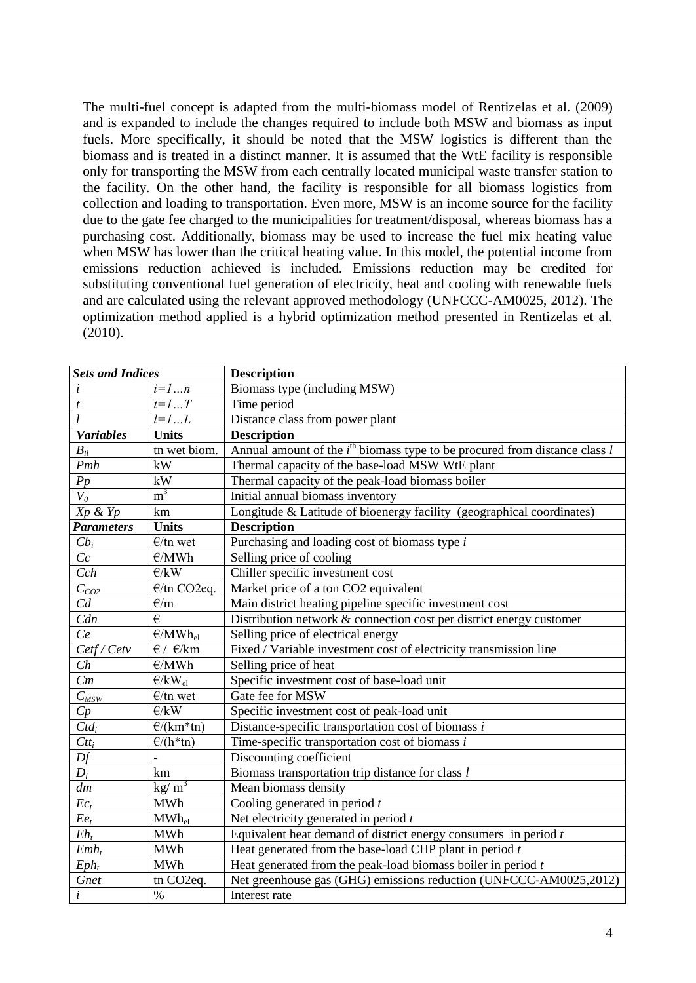The multi-fuel concept is adapted from the multi-biomass model of Rentizelas et al. (2009) and is expanded to include the changes required to include both MSW and biomass as input fuels. More specifically, it should be noted that the MSW logistics is different than the biomass and is treated in a distinct manner. It is assumed that the WtE facility is responsible only for transporting the MSW from each centrally located municipal waste transfer station to the facility. On the other hand, the facility is responsible for all biomass logistics from collection and loading to transportation. Even more, MSW is an income source for the facility due to the gate fee charged to the municipalities for treatment/disposal, whereas biomass has a purchasing cost. Additionally, biomass may be used to increase the fuel mix heating value when MSW has lower than the critical heating value. In this model, the potential income from emissions reduction achieved is included. Emissions reduction may be credited for substituting conventional fuel generation of electricity, heat and cooling with renewable fuels and are calculated using the relevant approved methodology (UNFCCC-AM0025, 2012). The optimization method applied is a hybrid optimization method presented in Rentizelas et al. (2010).

| <b>Sets and Indices</b> |                                  | <b>Description</b>                                                             |  |  |
|-------------------------|----------------------------------|--------------------------------------------------------------------------------|--|--|
| i                       | $i=1n$                           | Biomass type (including MSW)                                                   |  |  |
| t                       | $t=1T$                           | Time period                                                                    |  |  |
|                         | $l=1L$                           | Distance class from power plant                                                |  |  |
| <b>Variables</b>        | <b>Units</b>                     | <b>Description</b>                                                             |  |  |
| $\boldsymbol{B}_{il}$   | tn wet biom.                     | Annual amount of the $ith$ biomass type to be procured from distance class $l$ |  |  |
| Pmh                     | kW                               | Thermal capacity of the base-load MSW WtE plant                                |  |  |
| Pp                      | kW                               | Thermal capacity of the peak-load biomass boiler                               |  |  |
| $V_0$                   | m <sup>3</sup>                   | Initial annual biomass inventory                                               |  |  |
| $Xp \& Yp$              | km                               | Longitude & Latitude of bioenergy facility (geographical coordinates)          |  |  |
| <b>Parameters</b>       | <b>Units</b>                     | <b>Description</b>                                                             |  |  |
| $Cb_i$                  | $E$ /tn wet                      | Purchasing and loading cost of biomass type $i$                                |  |  |
| Cc                      | E/MWh                            | Selling price of cooling                                                       |  |  |
| Cch                     | E/kW                             | Chiller specific investment cost                                               |  |  |
| $C_{CO2}$               | $\epsilon$ /tn CO2eq.            | Market price of a ton CO2 equivalent                                           |  |  |
| $C_d$                   | E/m                              | Main district heating pipeline specific investment cost                        |  |  |
| Cdn                     | €                                | Distribution network & connection cost per district energy customer            |  |  |
| Ce                      | $E/MWh_{el}$                     | Selling price of electrical energy                                             |  |  |
| Cetf/Cetv               | $\epsilon$ / $\epsilon$ /km      | Fixed / Variable investment cost of electricity transmission line              |  |  |
| Ch                      | E/MWh                            | Selling price of heat                                                          |  |  |
| Cm                      | $E/KW_{el}$                      | Specific investment cost of base-load unit                                     |  |  |
| $C_{MSW}$               | $E$ /tn wet                      | Gate fee for MSW                                                               |  |  |
| Cp                      | E/kW                             | Specific investment cost of peak-load unit                                     |  |  |
| $Ctd_i$                 | $\frac{\epsilon}{\kappa m*}$ tn) | Distance-specific transportation cost of biomass i                             |  |  |
| $Ctt_i$                 | $\frac{\epsilon}{(h^*tn)}$       | Time-specific transportation cost of biomass $i$                               |  |  |
| Df                      |                                  | Discounting coefficient                                                        |  |  |
| $D_l$                   | km                               | Biomass transportation trip distance for class l                               |  |  |
| dm                      | kg/ $\overline{m}^3$             | Mean biomass density                                                           |  |  |
| $Ec_t$                  | <b>MWh</b>                       | Cooling generated in period $t$                                                |  |  |
| $E e_t$                 | $MWh_{el}$                       | Net electricity generated in period $t$                                        |  |  |
| $E h_t$                 | <b>MWh</b>                       | Equivalent heat demand of district energy consumers in period $t$              |  |  |
| $Emb_t$                 | <b>MWh</b>                       | Heat generated from the base-load CHP plant in period $t$                      |  |  |
| $Eph_t$                 | <b>MWh</b>                       | Heat generated from the peak-load biomass boiler in period $t$                 |  |  |
| Gnet                    | tn CO <sub>2</sub> eq.           | Net greenhouse gas (GHG) emissions reduction (UNFCCC-AM0025,2012)              |  |  |
| $\dot{i}$               | $\frac{0}{0}$                    | Interest rate                                                                  |  |  |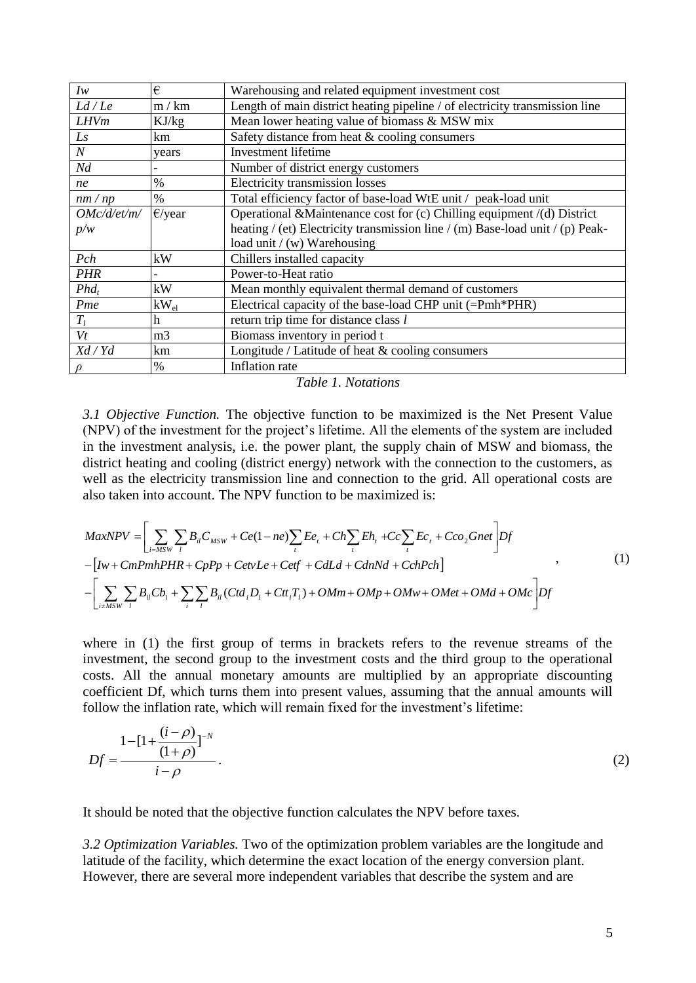| $I_{W}$          | €                | Warehousing and related equipment investment cost                             |
|------------------|------------------|-------------------------------------------------------------------------------|
| Ld/Le            | m / km           | Length of main district heating pipeline / of electricity transmission line   |
| <b>LHVm</b>      | KJ/kg            | Mean lower heating value of biomass & MSW mix                                 |
| Ls               | km               | Safety distance from heat & cooling consumers                                 |
| $\boldsymbol{N}$ | years            | Investment lifetime                                                           |
| Nd               |                  | Number of district energy customers                                           |
| ne               | %                | Electricity transmission losses                                               |
| nm/np            | $\%$             | Total efficiency factor of base-load WtE unit / peak-load unit                |
| OMc/d/et/m/      | $\epsilon$ /year | Operational &Maintenance cost for (c) Chilling equipment /(d) District        |
| p/w              |                  | heating / (et) Electricity transmission line / (m) Base-load unit / (p) Peak- |
|                  |                  | load unit $/(w)$ Warehousing                                                  |
| Pch              | kW               | Chillers installed capacity                                                   |
| <b>PHR</b>       |                  | Power-to-Heat ratio                                                           |
| $Phd_t$          | kW               | Mean monthly equivalent thermal demand of customers                           |
| Pme              | $kW_{el}$        | Electrical capacity of the base-load CHP unit (=Pmh*PHR)                      |
| $T_l$            | h                | return trip time for distance class l                                         |
| Vt               | m <sub>3</sub>   | Biomass inventory in period t                                                 |
| Xd/Yd            | km               | Longitude / Latitude of heat & cooling consumers                              |
| $\rho$           | $\frac{0}{0}$    | Inflation rate                                                                |

*3.1 Objective Function.* The objective function to be maximized is the Net Present Value (NPV) of the investment for the project's lifetime. All the elements of the system are included in the investment analysis, i.e. the power plant, the supply chain of MSW and biomass, the district heating and cooling (district energy) network with the connection to the customers, as well as the electricity transmission line and connection to the grid. All operational costs are also taken into account. The NPV function to be maximized is:

well as the electricity transmission line and connection to the grid. All operational costs are  
also taken into account. The NPV function to be maximized is:  

$$
MaxNPV = \left[ \sum_{i=MSW} \sum_{l} B_{il} C_{MSW} + Ce(1 - ne) \sum_{l} E e_{l} + Ch \sum_{l} E h_{l} + C c \sum_{l} E c_{l} + C co_{2} Gnet \right] Df - \left[ Iw + CmPm hPHR + CpPp + CetvLe + Ceff + CdLd + CdnNd + CchPch \right]
$$
 (1)  

$$
- \left[ \sum_{i \neq MSW} \sum_{l} B_{il} C b_{i} + \sum_{l} \sum_{l} B_{il} (Ctd_{i} D_{l} + Ct_{l} T_{l}) + OMm + OMp + OMw + OMet + OMd + OMc \right] Df
$$

where in (1) the first group of terms in brackets refers to the revenue streams of the investment, the second group to the investment costs and the third group to the operational costs. All the annual monetary amounts are multiplied by an appropriate discounting coefficient Df, which turns them into present values, assuming that the annual amounts will follow the inflation rate, which will remain fixed for the investment's lifetime:

$$
Df = \frac{1 - [1 + \frac{(i - \rho)}{(1 + \rho)}]^{-N}}{i - \rho}.
$$
 (2)

It should be noted that the objective function calculates the NPV before taxes.

*i*

*3.2 Optimization Variables.* Two of the optimization problem variables are the longitude and latitude of the facility, which determine the exact location of the energy conversion plant. However, there are several more independent variables that describe the system and are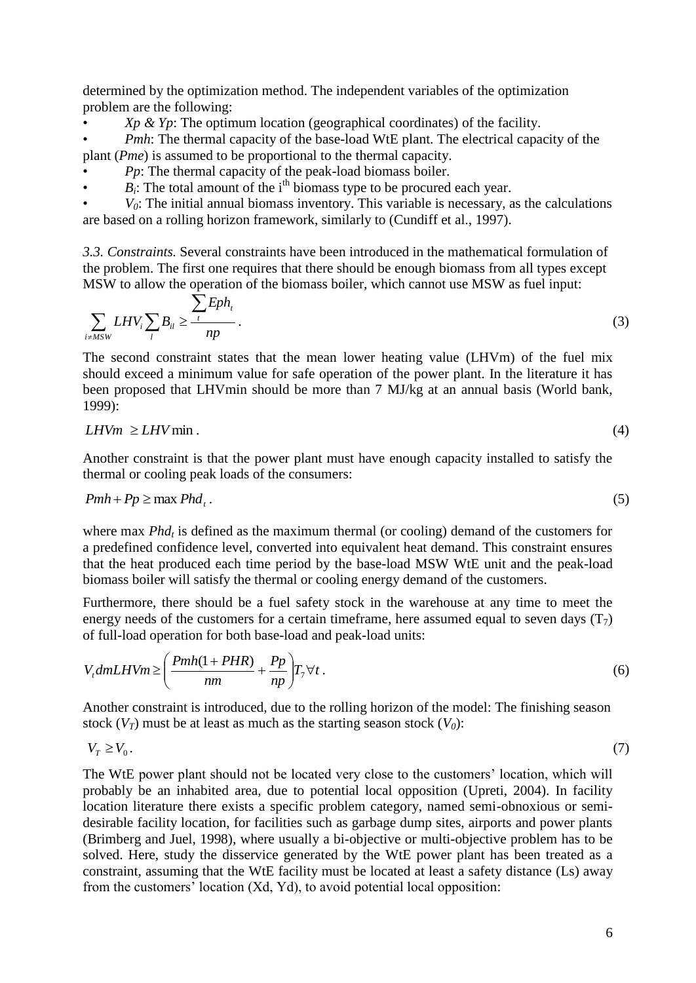determined by the optimization method. The independent variables of the optimization problem are the following:

• *Xp & Yp*: The optimum location (geographical coordinates) of the facility.

• *Pmh*: The thermal capacity of the base-load WtE plant. The electrical capacity of the plant (*Pme*) is assumed to be proportional to the thermal capacity.

• *Pp*: The thermal capacity of the peak-load biomass boiler.

 $\cdot$  *B<sub>i</sub>*: The total amount of the i<sup>th</sup> biomass type to be procured each year.

 $V_0$ : The initial annual biomass inventory. This variable is necessary, as the calculations are based on a rolling horizon framework, similarly to (Cundiff et al., 1997).

*3.3. Constraints.* Several constraints have been introduced in the mathematical formulation of the problem. The first one requires that there should be enough biomass from all types except MSW to allow the operation of the biomass boiler, which cannot use MSW as fuel input:

$$
\sum_{i \neq MSW} LHV_i \sum_{l} B_{il} \ge \frac{\sum tph_i}{np}.
$$
 (3)

The second constraint states that the mean lower heating value (LHVm) of the fuel mix should exceed a minimum value for safe operation of the power plant. In the literature it has been proposed that LHVmin should be more than 7 MJ/kg at an annual basis (World bank, 1999):

$$
LHVm \ge LHV\min. \tag{4}
$$

Another constraint is that the power plant must have enough capacity installed to satisfy the thermal or cooling peak loads of the consumers:

$$
Pmh + Pp \ge \max Phd_t.
$$
 (5)

where max *Phd<sup>t</sup>* is defined as the maximum thermal (or cooling) demand of the customers for a predefined confidence level, converted into equivalent heat demand. This constraint ensures that the heat produced each time period by the base-load MSW WtE unit and the peak-load biomass boiler will satisfy the thermal or cooling energy demand of the customers.

Furthermore, there should be a fuel safety stock in the warehouse at any time to meet the energy needs of the customers for a certain timeframe, here assumed equal to seven days  $(T_7)$ of full-load operation for both base-load and peak-load units:

$$
V_t dmLHVm \ge \left(\frac{Pmh(1+PHR)}{nm} + \frac{Pp}{np}\right)T_\gamma \forall t.
$$
\n<sup>(6)</sup>

Another constraint is introduced, due to the rolling horizon of the model: The finishing season stock  $(V_T)$  must be at least as much as the starting season stock  $(V_0)$ :

 $V_T \geq V_0$ . .  $(7)$ 

The WtE power plant should not be located very close to the customers' location, which will probably be an inhabited area, due to potential local opposition (Upreti, 2004). In facility location literature there exists a specific problem category, named semi-obnoxious or semidesirable facility location, for facilities such as garbage dump sites, airports and power plants (Brimberg and Juel, 1998), where usually a bi-objective or multi-objective problem has to be solved. Here, study the disservice generated by the WtE power plant has been treated as a constraint, assuming that the WtE facility must be located at least a safety distance (Ls) away from the customers' location (Xd, Yd), to avoid potential local opposition: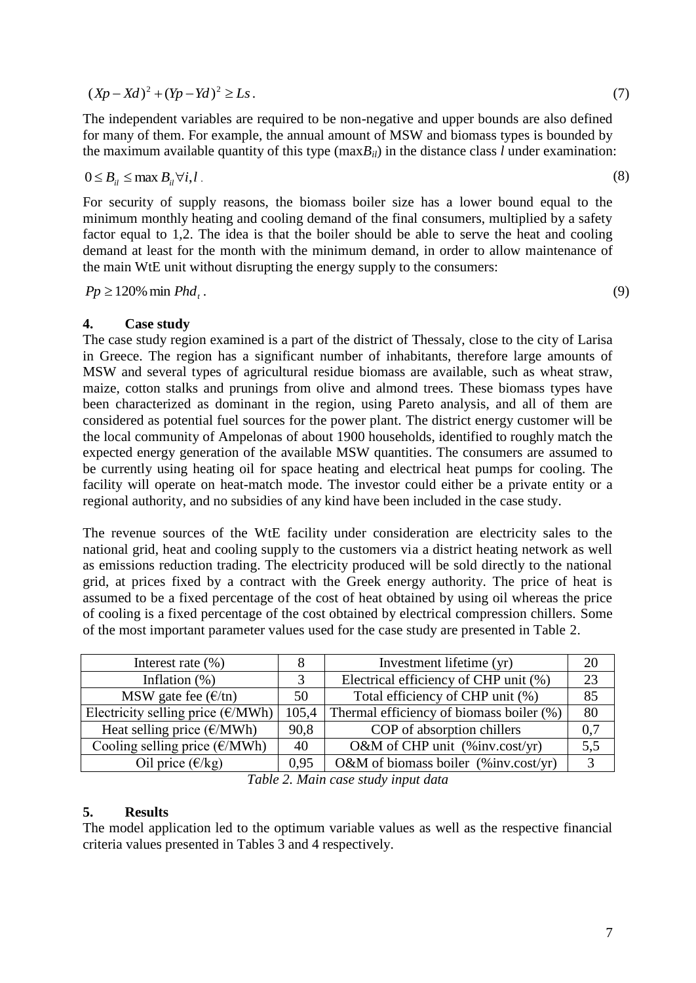$(Xp - Xd)^2 + (Yp - Yd)^2 \ge Ls$ . (7)

The independent variables are required to be non-negative and upper bounds are also defined for many of them. For example, the annual amount of MSW and biomass types is bounded by the maximum available quantity of this type  $(\text{max}B_i)$  in the distance class *l* under examination:

$$
0 \leq B_{il} \leq \max B_{il} \forall i, l \tag{8}
$$

For security of supply reasons, the biomass boiler size has a lower bound equal to the minimum monthly heating and cooling demand of the final consumers, multiplied by a safety factor equal to 1,2. The idea is that the boiler should be able to serve the heat and cooling demand at least for the month with the minimum demand, in order to allow maintenance of the main WtE unit without disrupting the energy supply to the consumers:

 $Pp \geq 120\%$  min *Phd<sub>t</sub>*.

### **4. Case study**

The case study region examined is a part of the district of Thessaly, close to the city of Larisa in Greece. The region has a significant number of inhabitants, therefore large amounts of MSW and several types of agricultural residue biomass are available, such as wheat straw, maize, cotton stalks and prunings from olive and almond trees. These biomass types have been characterized as dominant in the region, using Pareto analysis, and all of them are considered as potential fuel sources for the power plant. The district energy customer will be the local community of Ampelonas of about 1900 households, identified to roughly match the expected energy generation of the available MSW quantities. The consumers are assumed to be currently using heating oil for space heating and electrical heat pumps for cooling. The facility will operate on heat-match mode. The investor could either be a private entity or a regional authority, and no subsidies of any kind have been included in the case study.

The revenue sources of the WtE facility under consideration are electricity sales to the national grid, heat and cooling supply to the customers via a district heating network as well as emissions reduction trading. The electricity produced will be sold directly to the national grid, at prices fixed by a contract with the Greek energy authority. The price of heat is assumed to be a fixed percentage of the cost of heat obtained by using oil whereas the price of cooling is a fixed percentage of the cost obtained by electrical compression chillers. Some of the most important parameter values used for the case study are presented in Table 2.

| Interest rate $(\% )$                      |       | Investment lifetime (yr)                 | 20  |
|--------------------------------------------|-------|------------------------------------------|-----|
| Inflation $(\%)$                           |       | Electrical efficiency of CHP unit (%)    | 23  |
| MSW gate fee $(\frac{\epsilon}{\ln})$      | 50    | Total efficiency of CHP unit (%)         | 85  |
| Electricity selling price $(\epsilon/MWh)$ | 105,4 | Thermal efficiency of biomass boiler (%) | 80  |
| Heat selling price $(\epsilon/MWh)$        | 90,8  | COP of absorption chillers               | 0.7 |
| Cooling selling price $(\epsilon/MWh)$     | 40    | O&M of CHP unit $(\%$ inv.cost/yr)       | 5.5 |
| Oil price $(\epsilon/kg)$                  | 0.95  | O&M of biomass boiler (%inv.cost/yr)     | 2   |

*Table 2. Main case study input data*

# **5. Results**

The model application led to the optimum variable values as well as the respective financial criteria values presented in Tables 3 and 4 respectively.

.  $(9)$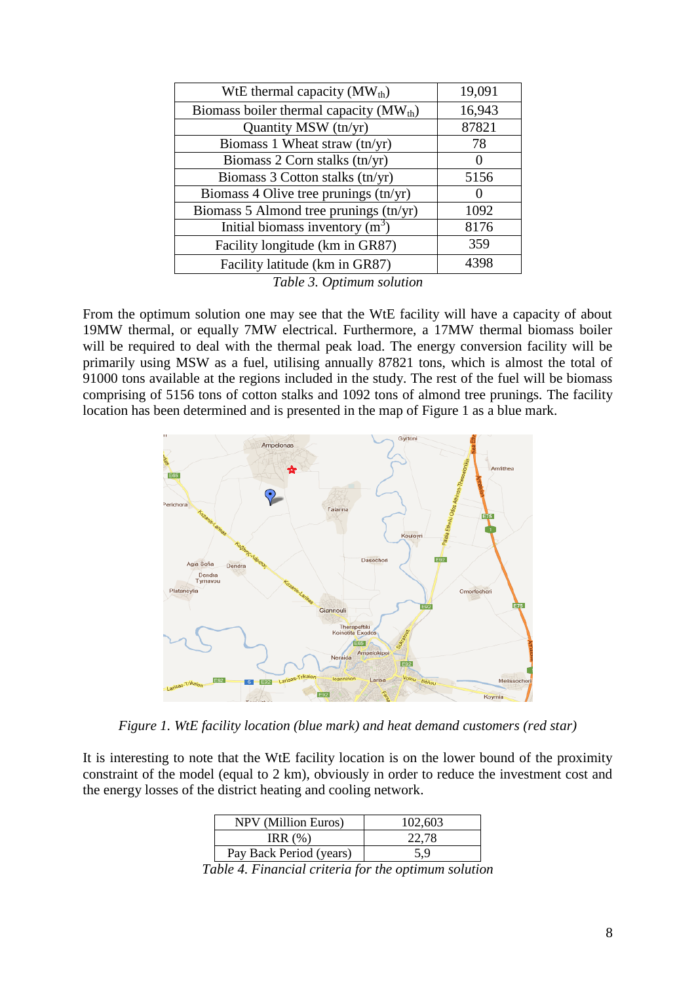| WtE thermal capacity $(MW_{th})$                                                                                                                                                                                                                                                              | 19,091 |
|-----------------------------------------------------------------------------------------------------------------------------------------------------------------------------------------------------------------------------------------------------------------------------------------------|--------|
| Biomass boiler thermal capacity $(MWth)$                                                                                                                                                                                                                                                      | 16,943 |
| Quantity MSW (tn/yr)                                                                                                                                                                                                                                                                          | 87821  |
| Biomass 1 Wheat straw (tn/yr)                                                                                                                                                                                                                                                                 | 78     |
| Biomass 2 Corn stalks $(tn/yr)$                                                                                                                                                                                                                                                               |        |
| Biomass 3 Cotton stalks (tn/yr)                                                                                                                                                                                                                                                               | 5156   |
| Biomass 4 Olive tree prunings $(tn/yr)$                                                                                                                                                                                                                                                       |        |
| Biomass 5 Almond tree prunings (tn/yr)                                                                                                                                                                                                                                                        | 1092   |
| Initial biomass inventory $(m^3)$                                                                                                                                                                                                                                                             | 8176   |
| Facility longitude (km in GR87)                                                                                                                                                                                                                                                               | 359    |
| Facility latitude (km in GR87)                                                                                                                                                                                                                                                                | 4398   |
| $T_{\rm{u}}$ $T_{\rm{u}}$ $T_{\rm{u}}$ $T_{\rm{u}}$ $T_{\rm{u}}$ $T_{\rm{u}}$ $T_{\rm{u}}$ $T_{\rm{u}}$ $T_{\rm{u}}$ $T_{\rm{u}}$ $T_{\rm{u}}$ $T_{\rm{u}}$ $T_{\rm{u}}$ $T_{\rm{u}}$ $T_{\rm{u}}$ $T_{\rm{u}}$ $T_{\rm{u}}$ $T_{\rm{u}}$ $T_{\rm{u}}$ $T_{\rm{u}}$ $T_{\rm{u}}$ $T_{\rm{u}}$ |        |

*Table 3. Optimum solution*

From the optimum solution one may see that the WtE facility will have a capacity of about 19MW thermal, or equally 7MW electrical. Furthermore, a 17MW thermal biomass boiler will be required to deal with the thermal peak load. The energy conversion facility will be primarily using MSW as a fuel, utilising annually 87821 tons, which is almost the total of 91000 tons available at the regions included in the study. The rest of the fuel will be biomass comprising of 5156 tons of cotton stalks and 1092 tons of almond tree prunings. The facility location has been determined and is presented in the map of Figure 1 as a blue mark.



*Figure 1. WtE facility location (blue mark) and heat demand customers (red star)*

It is interesting to note that the WtE facility location is on the lower bound of the proximity constraint of the model (equal to 2 km), obviously in order to reduce the investment cost and the energy losses of the district heating and cooling network.

| <b>NPV</b> (Million Euros) | 102,603 |
|----------------------------|---------|
| IRR $(\%)$                 | 22.78   |
| Pay Back Period (years)    | 5.9     |

*Table 4. Financial criteria for the optimum solution*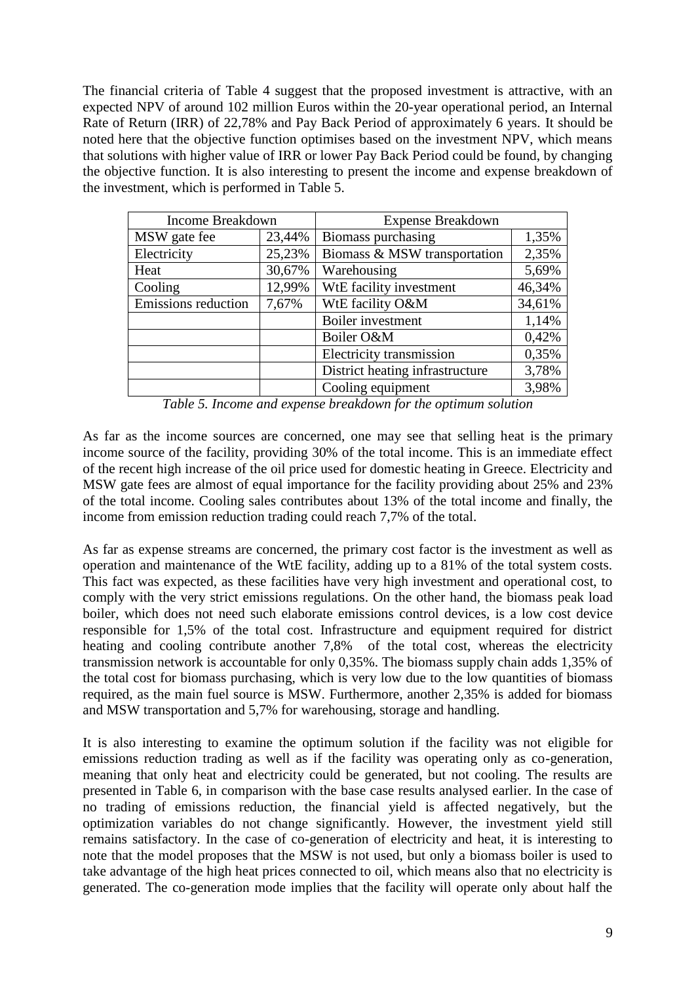The financial criteria of Table 4 suggest that the proposed investment is attractive, with an expected NPV of around 102 million Euros within the 20-year operational period, an Internal Rate of Return (IRR) of 22,78% and Pay Back Period of approximately 6 years. It should be noted here that the objective function optimises based on the investment NPV, which means that solutions with higher value of IRR or lower Pay Back Period could be found, by changing the objective function. It is also interesting to present the income and expense breakdown of the investment, which is performed in Table 5.

| <b>Income Breakdown</b> |        | <b>Expense Breakdown</b>        |        |  |
|-------------------------|--------|---------------------------------|--------|--|
| MSW gate fee            | 23,44% | Biomass purchasing              | 1,35%  |  |
| Electricity             | 25,23% | Biomass & MSW transportation    | 2,35%  |  |
| Heat                    | 30,67% | Warehousing                     | 5,69%  |  |
| Cooling                 | 12,99% | WtE facility investment         | 46,34% |  |
| Emissions reduction     | 7,67%  | WtE facility O&M                | 34,61% |  |
|                         |        | Boiler investment               | 1,14%  |  |
|                         |        | Boiler O&M                      | 0,42%  |  |
|                         |        | Electricity transmission        | 0,35%  |  |
|                         |        | District heating infrastructure | 3,78%  |  |
|                         |        | Cooling equipment               | 3,98%  |  |

*Table 5. Income and expense breakdown for the optimum solution*

As far as the income sources are concerned, one may see that selling heat is the primary income source of the facility, providing 30% of the total income. This is an immediate effect of the recent high increase of the oil price used for domestic heating in Greece. Electricity and MSW gate fees are almost of equal importance for the facility providing about 25% and 23% of the total income. Cooling sales contributes about 13% of the total income and finally, the income from emission reduction trading could reach 7,7% of the total.

As far as expense streams are concerned, the primary cost factor is the investment as well as operation and maintenance of the WtE facility, adding up to a 81% of the total system costs. This fact was expected, as these facilities have very high investment and operational cost, to comply with the very strict emissions regulations. On the other hand, the biomass peak load boiler, which does not need such elaborate emissions control devices, is a low cost device responsible for 1,5% of the total cost. Infrastructure and equipment required for district heating and cooling contribute another 7,8% of the total cost, whereas the electricity transmission network is accountable for only 0,35%. The biomass supply chain adds 1,35% of the total cost for biomass purchasing, which is very low due to the low quantities of biomass required, as the main fuel source is MSW. Furthermore, another 2,35% is added for biomass and MSW transportation and 5,7% for warehousing, storage and handling.

It is also interesting to examine the optimum solution if the facility was not eligible for emissions reduction trading as well as if the facility was operating only as co-generation, meaning that only heat and electricity could be generated, but not cooling. The results are presented in Table 6, in comparison with the base case results analysed earlier. In the case of no trading of emissions reduction, the financial yield is affected negatively, but the optimization variables do not change significantly. However, the investment yield still remains satisfactory. In the case of co-generation of electricity and heat, it is interesting to note that the model proposes that the MSW is not used, but only a biomass boiler is used to take advantage of the high heat prices connected to oil, which means also that no electricity is generated. The co-generation mode implies that the facility will operate only about half the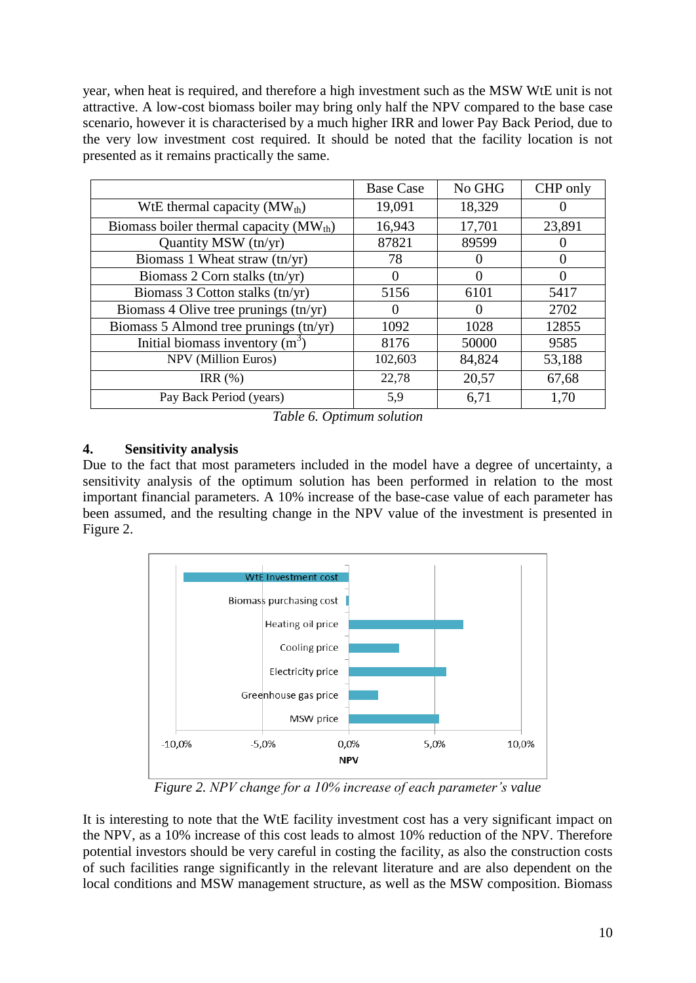year, when heat is required, and therefore a high investment such as the MSW WtE unit is not attractive. A low-cost biomass boiler may bring only half the NPV compared to the base case scenario, however it is characterised by a much higher IRR and lower Pay Back Period, due to the very low investment cost required. It should be noted that the facility location is not presented as it remains practically the same.

|                                             | <b>Base Case</b>  | No GHG   | CHP only |
|---------------------------------------------|-------------------|----------|----------|
| WtE thermal capacity $(MW_{th})$            | 19,091            | 18,329   |          |
| Biomass boiler thermal capacity $(MW_{th})$ | 16,943            | 17,701   | 23,891   |
| Quantity MSW (tn/yr)                        | 87821             | 89599    |          |
| Biomass 1 Wheat straw (tn/yr)               | 78                |          | $\Omega$ |
| Biomass 2 Corn stalks $(tn/yr)$             | $\theta$          | $\theta$ | $\theta$ |
| Biomass 3 Cotton stalks (tn/yr)             | 5156              | 6101     | 5417     |
| Biomass 4 Olive tree prunings (tn/yr)       | $\mathbf{\Omega}$ |          | 2702     |
| Biomass 5 Almond tree prunings (tn/yr)      | 1092              | 1028     | 12855    |
| Initial biomass inventory $(m^3)$           | 8176              | 50000    | 9585     |
| <b>NPV</b> (Million Euros)                  | 102,603           | 84,824   | 53,188   |
| IRR $(\%)$                                  | 22,78             | 20,57    | 67,68    |
| Pay Back Period (years)                     | 5,9               | 6,71     | 1,70     |

*Table 6. Optimum solution*

# **4. Sensitivity analysis**

Due to the fact that most parameters included in the model have a degree of uncertainty, a sensitivity analysis of the optimum solution has been performed in relation to the most important financial parameters. A 10% increase of the base-case value of each parameter has been assumed, and the resulting change in the NPV value of the investment is presented in Figure 2.



*Figure 2. NPV change for a 10% increase of each parameter's value*

It is interesting to note that the WtE facility investment cost has a very significant impact on the NPV, as a 10% increase of this cost leads to almost 10% reduction of the NPV. Therefore potential investors should be very careful in costing the facility, as also the construction costs of such facilities range significantly in the relevant literature and are also dependent on the local conditions and MSW management structure, as well as the MSW composition. Biomass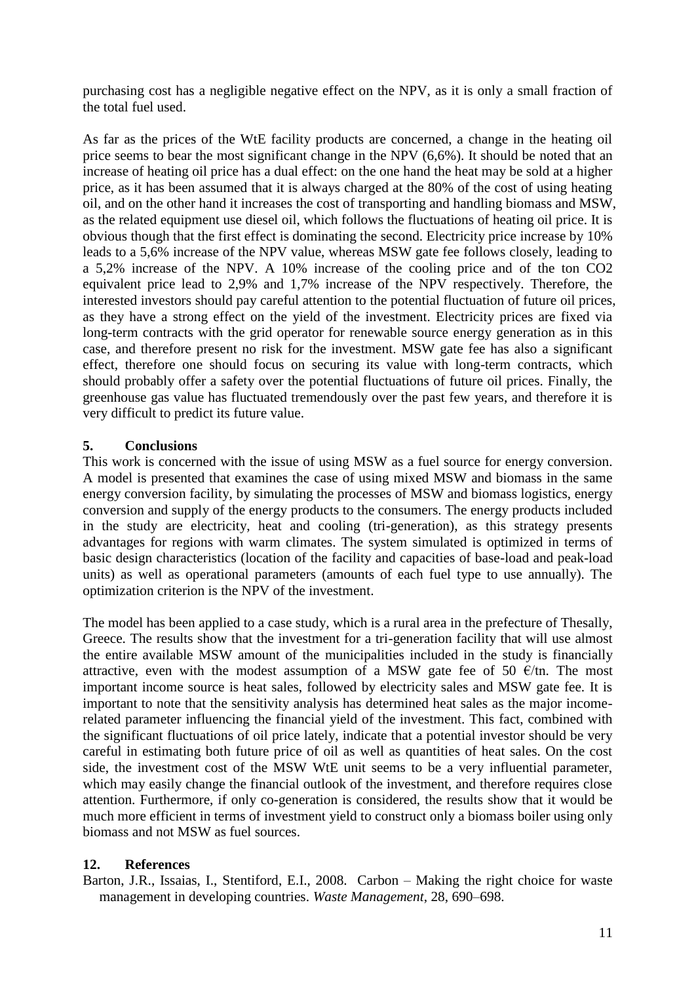purchasing cost has a negligible negative effect on the NPV, as it is only a small fraction of the total fuel used.

As far as the prices of the WtE facility products are concerned, a change in the heating oil price seems to bear the most significant change in the NPV (6,6%). It should be noted that an increase of heating oil price has a dual effect: on the one hand the heat may be sold at a higher price, as it has been assumed that it is always charged at the 80% of the cost of using heating oil, and on the other hand it increases the cost of transporting and handling biomass and MSW, as the related equipment use diesel oil, which follows the fluctuations of heating oil price. It is obvious though that the first effect is dominating the second. Electricity price increase by 10% leads to a 5,6% increase of the NPV value, whereas MSW gate fee follows closely, leading to a 5,2% increase of the NPV. A 10% increase of the cooling price and of the ton CO2 equivalent price lead to 2,9% and 1,7% increase of the NPV respectively. Therefore, the interested investors should pay careful attention to the potential fluctuation of future oil prices, as they have a strong effect on the yield of the investment. Electricity prices are fixed via long-term contracts with the grid operator for renewable source energy generation as in this case, and therefore present no risk for the investment. MSW gate fee has also a significant effect, therefore one should focus on securing its value with long-term contracts, which should probably offer a safety over the potential fluctuations of future oil prices. Finally, the greenhouse gas value has fluctuated tremendously over the past few years, and therefore it is very difficult to predict its future value.

# **5. Conclusions**

This work is concerned with the issue of using MSW as a fuel source for energy conversion. A model is presented that examines the case of using mixed MSW and biomass in the same energy conversion facility, by simulating the processes of MSW and biomass logistics, energy conversion and supply of the energy products to the consumers. The energy products included in the study are electricity, heat and cooling (tri-generation), as this strategy presents advantages for regions with warm climates. The system simulated is optimized in terms of basic design characteristics (location of the facility and capacities of base-load and peak-load units) as well as operational parameters (amounts of each fuel type to use annually). The optimization criterion is the NPV of the investment.

The model has been applied to a case study, which is a rural area in the prefecture of Thesally, Greece. The results show that the investment for a tri-generation facility that will use almost the entire available MSW amount of the municipalities included in the study is financially attractive, even with the modest assumption of a MSW gate fee of 50  $\epsilon$ /tn. The most important income source is heat sales, followed by electricity sales and MSW gate fee. It is important to note that the sensitivity analysis has determined heat sales as the major incomerelated parameter influencing the financial yield of the investment. This fact, combined with the significant fluctuations of oil price lately, indicate that a potential investor should be very careful in estimating both future price of oil as well as quantities of heat sales. On the cost side, the investment cost of the MSW WtE unit seems to be a very influential parameter, which may easily change the financial outlook of the investment, and therefore requires close attention. Furthermore, if only co-generation is considered, the results show that it would be much more efficient in terms of investment yield to construct only a biomass boiler using only biomass and not MSW as fuel sources.

# **12. References**

Barton, J.R., Issaias, I., Stentiford, E.I., 2008. Carbon – Making the right choice for waste management in developing countries. *Waste Management*, 28, 690–698.